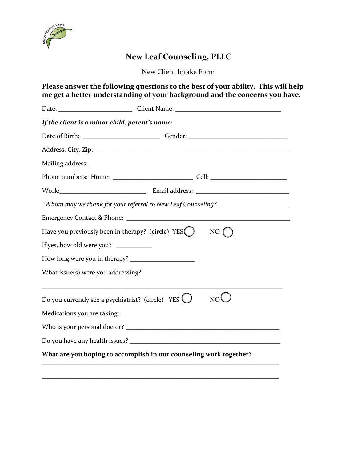

# **New Leaf Counseling, PLLC**

New Client Intake Form

**Please answer the following questions to the best of your ability. This will help me get a better understanding of your background and the concerns you have.** 

|                                                             | If the client is a minor child, parent's name: _________________________________ |
|-------------------------------------------------------------|----------------------------------------------------------------------------------|
|                                                             |                                                                                  |
|                                                             |                                                                                  |
|                                                             |                                                                                  |
|                                                             |                                                                                  |
|                                                             |                                                                                  |
|                                                             | *Whom may we thank for your referral to New Leaf Counseling? ___________________ |
|                                                             |                                                                                  |
| Have you previously been in therapy? (circle) $YES$ $)$     | NO                                                                               |
| If yes, how old were you?                                   |                                                                                  |
|                                                             |                                                                                  |
| What issue $(s)$ were you addressing?                       |                                                                                  |
| Do you currently see a psychiatrist? (circle) YES $\bigcup$ | NO <sup>l</sup>                                                                  |
|                                                             |                                                                                  |
|                                                             |                                                                                  |
|                                                             |                                                                                  |
|                                                             | What are you hoping to accomplish in our counseling work together?               |

\_\_\_\_\_\_\_\_\_\_\_\_\_\_\_\_\_\_\_\_\_\_\_\_\_\_\_\_\_\_\_\_\_\_\_\_\_\_\_\_\_\_\_\_\_\_\_\_\_\_\_\_\_\_\_\_\_\_\_\_\_\_\_\_\_\_\_\_\_\_\_\_\_\_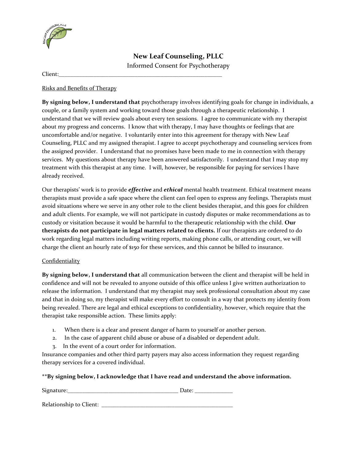

**New Leaf Counseling, PLLC** Informed Consent for Psychotherapy

Client:\_\_\_\_\_\_\_\_\_\_\_\_\_\_\_\_\_\_\_\_\_\_\_\_\_\_\_\_\_\_\_\_\_\_\_\_\_\_\_\_\_\_\_\_\_\_\_\_\_\_\_\_\_\_\_\_

### Risks and Benefits of Therapy

**By signing below, I understand that** psychotherapy involves identifying goals for change in individuals, a couple, or a family system and working toward those goals through a therapeutic relationship. I understand that we will review goals about every ten sessions. I agree to communicate with my therapist about my progress and concerns. I know that with therapy, I may have thoughts or feelings that are uncomfortable and/or negative. I voluntarily enter into this agreement for therapy with New Leaf Counseling, PLLC and my assigned therapist. I agree to accept psychotherapy and counseling services from the assigned provider. I understand that no promises have been made to me in connection with therapy services. My questions about therapy have been answered satisfactorily. I understand that I may stop my treatment with this therapist at any time. I will, however, be responsible for paying for services I have already received.

Our therapists' work is to provide *effective* and *ethical* mental health treatment. Ethical treatment means therapists must provide a safe space where the client can feel open to express any feelings. Therapists must avoid situations where we serve in any other role to the client besides therapist, and this goes for children and adult clients. For example, we will not participate in custody disputes or make recommendations as to custody or visitation because it would be harmful to the therapeutic relationship with the child. **Our therapists do not participate in legal matters related to clients.** If our therapists are ordered to do work regarding legal matters including writing reports, making phone calls, or attending court, we will charge the client an hourly rate of \$150 for these services, and this cannot be billed to insurance.

#### Confidentiality

**By signing below, I understand that** all communication between the client and therapist will be held in confidence and will not be revealed to anyone outside of this office unless I give written authorization to release the information. I understand that my therapist may seek professional consultation about my case and that in doing so, my therapist will make every effort to consult in a way that protects my identity from being revealed. There are legal and ethical exceptions to confidentiality, however, which require that the therapist take responsible action. These limits apply:

- 1. When there is a clear and present danger of harm to yourself or another person.
- 2. In the case of apparent child abuse or abuse of a disabled or dependent adult.
- 3. In the event of a court order for information.

Insurance companies and other third party payers may also access information they request regarding therapy services for a covered individual.

**\*\*By signing below, I acknowledge that I have read and understand the above information.**

| Signature:              | Date: |
|-------------------------|-------|
|                         |       |
| Relationship to Client: |       |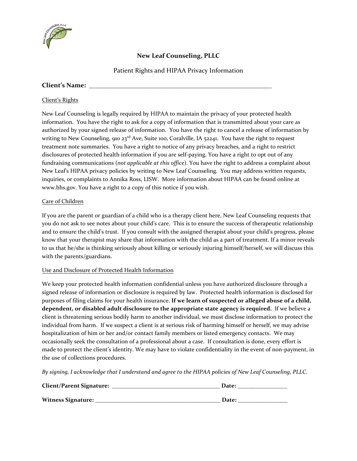

# **New Leaf Counseling, PLLC**

Patient Rights and HIPAA Privacy Information

## **Client's Name: \_\_\_\_\_\_\_\_\_\_\_\_\_\_\_\_\_\_\_\_\_\_\_\_\_\_\_\_\_\_\_\_\_\_\_\_\_\_\_\_\_\_\_\_\_\_\_\_\_\_\_\_\_\_\_\_\_**

### Client's Rights

New Leaf Counseling is legally required by HIPAA to maintain the privacy of your protected health information. You have the right to ask for a copy of information that is transmitted about your care as authorized by your signed release of information. You have the right to cancel a release of information by writing to New Counseling, 910 23<sup>rd</sup> Ave, Suite 100, Coralville, IA 52241. You have the right to request treatment note summaries. You have a right to notice of any privacy breaches, and a right to restrict disclosures of protected health information if you are self-paying. You have a right to opt out of any fundraising communications (*not applicable at this office*). You have the right to address a complaint about New Leaf's HIPAA privacy policies by writing to New Leaf Counseling. You may address written requests, inquiries, or complaints to Annika Ross, LISW. More information about HIPAA can be found online at www.hhs.gov. You have a right to a copy of this notice if you wish.

### Care of Children

If you are the parent or guardian of a child who is a therapy client here, New Leaf Counseling requests that you do not ask to see notes about your child's care. This is to ensure the success of therapeutic relationship and to ensure the child's trust. If you consult with the assigned therapist about your child's progress, please know that your therapist may share that information with the child as a part of treatment. If a minor reveals to us that he/she is thinking seriously about killing or seriously injuring himself/herself, we will discuss this with the parents/guardians.

#### Use and Disclosure of Protected Health Information

We keep your protected health information confidential unless you have authorized disclosure through a signed release of information or disclosure is required by law. Protected health information is disclosed for purposes of filing claims for your health insurance. **If we learn of suspected or alleged abuse of a child, dependent, or disabled adult disclosure to the appropriate state agency is required.** If we believe a client is threatening serious bodily harm to another individual, we must disclose information to protect the individual from harm. If we suspect a client is at serious risk of harming himself or herself, we may advise hospitalization of him or her and/or contact family members or listed emergency contacts. We may occasionally seek the consultation of a professional about a case. If consultation is done, every effort is made to protect the client's identity. We may have to violate confidentiality in the event of non-payment, in the use of collections procedures.

*By signing, I acknowledge that I understand and agree to the HIPAA policies of New Leaf Counseling, PLLC.*

| <b>Client/Parent Signature:</b> | Date: |  |  |
|---------------------------------|-------|--|--|
| Witness Signature:              | Date: |  |  |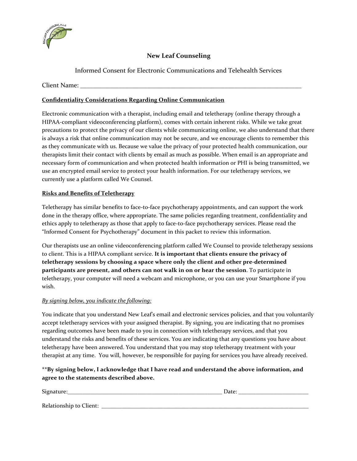

## **New Leaf Counseling**

Informed Consent for Electronic Communications and Telehealth Services

Client Name:

### **Confidentiality Considerations Regarding Online Communication**

Electronic communication with a therapist, including email and teletherapy (online therapy through a HIPAA-compliant videoconferencing platform), comes with certain inherent risks. While we take great precautions to protect the privacy of our clients while communicating online, we also understand that there is always a risk that online communication may not be secure, and we encourage clients to remember this as they communicate with us. Because we value the privacy of your protected health communication, our therapists limit their contact with clients by email as much as possible. When email is an appropriate and necessary form of communication and when protected health information or PHI is being transmitted, we use an encrypted email service to protect your health information. For our teletherapy services, we currently use a platform called We Counsel.

### **Risks and Benefits of Teletherapy**

Teletherapy has similar benefits to face-to-face psychotherapy appointments, and can support the work done in the therapy office, where appropriate. The same policies regarding treatment, confidentiality and ethics apply to teletherapy as those that apply to face-to-face psychotherapy services. Please read the "Informed Consent for Psychotherapy" document in this packet to review this information.

Our therapists use an online videoconferencing platform called We Counsel to provide teletherapy sessions to client. This is a HIPAA compliant service. **It is important that clients ensure the privacy of teletherapy sessions by choosing a space where only the client and other pre-determined participants are present, and others can not walk in on or hear the session**. To participate in teletherapy, your computer will need a webcam and microphone, or you can use your Smartphone if you wish.

#### *By signing below, you indicate the following:*

You indicate that you understand New Leaf's email and electronic services policies, and that you voluntarily accept teletherapy services with your assigned therapist. By signing, you are indicating that no promises regarding outcomes have been made to you in connection with teletherapy services, and that you understand the risks and benefits of these services. You are indicating that any questions you have about teletherapy have been answered. You understand that you may stop teletherapy treatment with your therapist at any time. You will, however, be responsible for paying for services you have already received.

## **\*\*By signing below, I acknowledge that I have read and understand the above information, and agree to the statements described above.**

| Signature:              | Date: |
|-------------------------|-------|
| Relationship to Client: |       |
|                         |       |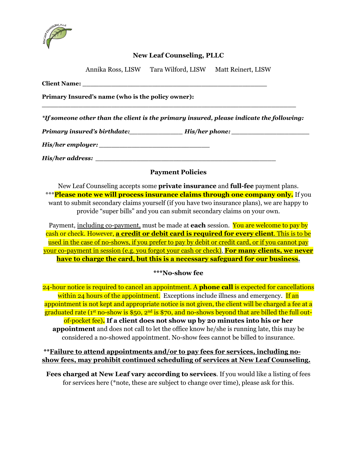

## **New Leaf Counseling, PLLC**

Annika Ross, LISW Tara Wilford, LISW Matt Reinert, LISW

**Client Name: \_\_\_\_\_\_\_\_\_\_\_\_\_\_\_\_\_\_\_\_\_\_\_\_\_\_\_\_\_\_\_\_\_\_\_\_\_\_\_\_\_\_\_\_\_**

**Primary Insured's name (who is the policy owner):** 

*\*If someone other than the client is the primary insured, please indicate the following:*

**\_\_\_\_\_\_\_\_\_\_\_\_\_\_\_\_\_\_\_\_\_\_\_\_\_\_\_\_\_\_\_\_\_\_\_\_\_\_\_\_\_\_\_\_\_\_\_\_\_\_\_\_\_\_\_\_\_\_\_\_\_\_**

*Primary insured's birthdate:\_\_\_\_\_\_\_\_\_\_\_\_\_ His/her phone: \_\_\_\_\_\_\_\_\_\_\_\_\_\_\_\_\_\_\_*

*His/her employer: \_\_\_\_\_\_\_\_\_\_\_\_\_\_\_\_\_\_\_\_\_\_\_\_\_\_\_*

*His/her address: \_\_\_\_\_\_\_\_\_\_\_\_\_\_\_\_\_\_\_\_\_\_\_\_\_\_\_\_\_\_\_\_\_\_\_\_\_\_\_\_\_\_\_\_* 

## **Payment Policies**

New Leaf Counseling accepts some **private insurance** and **full-fee** payment plans. \*\*\***Please note we will process insurance claims through one company only.** If you want to submit secondary claims yourself (if you have two insurance plans), we are happy to provide "super bills" and you can submit secondary claims on your own.

Payment, including co-payment, must be made at **each** session. You are welcome to pay by cash or check. However, **a credit or debit card is required for every client**. This is to be used in the case of no-shows, if you prefer to pay by debit or credit card, or if you cannot pay your co-payment in session (e.g. you forgot your cash or check). **For many clients, we never have to charge the card, but this is a necessary safeguard for our business.**

# **\*\*\*No-show fee**

24-hour notice is required to cancel an appointment. A **phone call** is expected for cancellations within 24 hours of the appointment. Exceptions include illness and emergency. If an appointment is not kept and appropriate notice is not given, the client will be charged a fee at a graduated rate ( $1<sup>st</sup>$  no-show is \$50,  $2<sup>nd</sup>$  is \$70, and no-shows beyond that are billed the full outof-pocket fee)**. If a client does not show up by 20 minutes into his or her appointment** and does not call to let the office know he/she is running late, this may be considered a no-showed appointment. No-show fees cannot be billed to insurance.

**\*\*Failure to attend appointments and/or to pay fees for services, including noshow fees, may prohibit continued scheduling of services at New Leaf Counseling.**

**Fees charged at New Leaf vary according to services**. If you would like a listing of fees for services here (\*note, these are subject to change over time), please ask for this.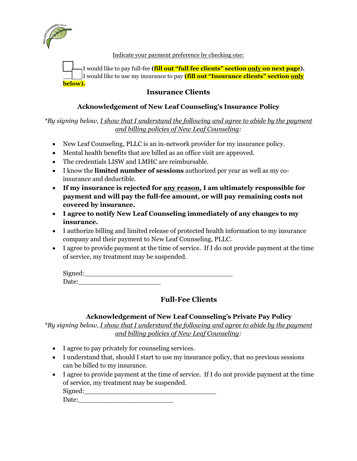

Indicate your payment preference by checking one:

\_\_\_\_\_ I would like to pay full-fee **(fill out "full fee clients" section only on next page).** I would like to use my insurance to pay **(fill out "Insurance clients" section only below).**

# **Insurance Clients**

## **Acknowledgement of New Leaf Counseling's Insurance Policy**

*\*By signing below, I show that I understand the following and agree to abide by the payment and billing policies of New Leaf Counseling:* 

- New Leaf Counseling, PLLC is an in-network provider for my insurance policy.
- Mental health benefits that are billed as an office visit are approved.
- The credentials LISW and LMHC are reimbursable.
- I know the **limited number of sessions** authorized per year as well as my coinsurance and deductible.
- **If my insurance is rejected for any reason, I am ultimately responsible for payment and will pay the full-fee amount, or will pay remaining costs not covered by insurance.**
- **I agree to notify New Leaf Counseling immediately of any changes to my insurance.**
- I authorize billing and limited release of protected health information to my insurance company and their payment to New Leaf Counseling, PLLC.
- I agree to provide payment at the time of service. If I do not provide payment at the time of service, my treatment may be suspended.

| Signed: |  |  |
|---------|--|--|
| Date:   |  |  |

# **Full-Fee Clients**

# **Acknowledgement of New Leaf Counseling's Private Pay Policy**

*\*By signing below, I show that I understand the following and agree to abide by the payment and billing policies of New Leaf Counseling:* 

- I agree to pay privately for counseling services.
- I understand that, should I start to use my insurance policy, that no previous sessions can be billed to my insurance.
- I agree to provide payment at the time of service. If I do not provide payment at the time of service, my treatment may be suspended. Signed:

Date:\_\_\_\_\_\_\_\_\_\_\_\_\_\_\_\_\_\_\_\_\_\_\_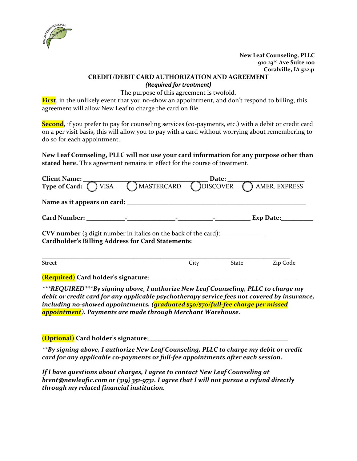

## **New Leaf Counseling, PLLC 910 23rd Ave Suite 100 Coralville, IA 52241**

# **CREDIT/DEBIT CARD AUTHORIZATION AND AGREEMENT**

*(Required for treatment)*

The purpose of this agreement is twofold.

**First**, in the unlikely event that you no-show an appointment, and don't respond to billing, this agreement will allow New Leaf to charge the card on file.

**Second**, if you prefer to pay for counseling services (co-payments, etc.) with a debit or credit card on a per visit basis**,** this will allow you to pay with a card without worrying about remembering to do so for each appointment.

**New Leaf Counseling, PLLC will not use your card information for any purpose other than stated here.** This agreement remains in effect for the course of treatment.

| Client Name: ___                                                                                                                   | Date: $\qquad \qquad$ |                                                                      |              |           |  |  |
|------------------------------------------------------------------------------------------------------------------------------------|-----------------------|----------------------------------------------------------------------|--------------|-----------|--|--|
|                                                                                                                                    |                       | Type of Card: ( ) VISA ( ) MASTERCARD ( ) DISCOVER ( ) AMER. EXPRESS |              |           |  |  |
|                                                                                                                                    |                       |                                                                      |              |           |  |  |
|                                                                                                                                    |                       |                                                                      |              | Exp Date: |  |  |
| <b>CVV number</b> (3 digit number in italics on the back of the card):<br><b>Cardholder's Billing Address for Card Statements:</b> |                       |                                                                      |              |           |  |  |
| <b>Street</b>                                                                                                                      |                       | City                                                                 | <b>State</b> | Zip Code  |  |  |
| <b>(Required)</b> Card holder's signature:________                                                                                 |                       |                                                                      |              |           |  |  |

*\*\*\*REQUIRED\*\*\*By signing above, I authorize New Leaf Counseling, PLLC to charge my debit or credit card for any applicable psychotherapy service fees not covered by insurance, including no-showed appointments, (graduated \$50/\$70/full-fee charge per missed appointment). Payments are made through Merchant Warehouse.*

**(Optional) Card holder's signature**:\_\_\_\_\_\_\_\_\_\_\_\_\_\_\_\_\_\_\_\_\_\_\_\_\_\_\_\_\_\_\_\_\_\_\_\_\_\_\_\_\_\_\_\_\_\_\_\_

*\*\*By signing above, I authorize New Leaf Counseling, PLLC to charge my debit or credit card for any applicable co-payments or full-fee appointments after each session.*

*If I have questions about charges, I agree to contact New Leaf Counseling at brent@newleafic.com or (319) 351-9731. I agree that I will not pursue a refund directly through my related financial institution.*